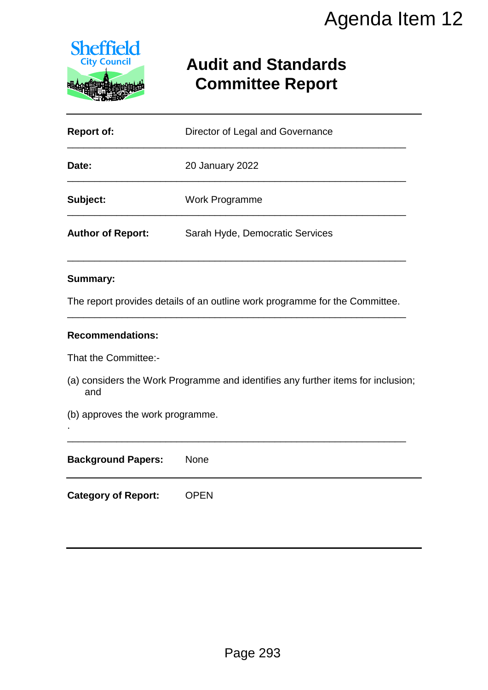

# **Audit and Standards Committee Report**

|                                         | Agenda Item 12                                                                   |
|-----------------------------------------|----------------------------------------------------------------------------------|
| <b>Sheffield</b><br><b>City Council</b> | <b>Audit and Standards</b><br><b>Committee Report</b>                            |
| <b>Report of:</b>                       | Director of Legal and Governance                                                 |
| Date:                                   | 20 January 2022                                                                  |
| Subject:                                | <b>Work Programme</b>                                                            |
| <b>Author of Report:</b>                | Sarah Hyde, Democratic Services                                                  |
| <b>Summary:</b>                         |                                                                                  |
|                                         | The report provides details of an outline work programme for the Committee.      |
| <b>Recommendations:</b>                 |                                                                                  |
| That the Committee:-                    |                                                                                  |
| and                                     | (a) considers the Work Programme and identifies any further items for inclusion; |
| (b) approves the work programme.        |                                                                                  |
| <b>Background Papers:</b>               | None                                                                             |
| <b>Category of Report:</b>              | <b>OPEN</b>                                                                      |
|                                         |                                                                                  |
|                                         |                                                                                  |
|                                         |                                                                                  |
|                                         |                                                                                  |
|                                         |                                                                                  |
|                                         | Page 293                                                                         |

### **Summary:**

#### **Recommendations:**

| <b>Background Papers:</b>  | <b>None</b> |
|----------------------------|-------------|
| <b>Category of Report:</b> | <b>OPEN</b> |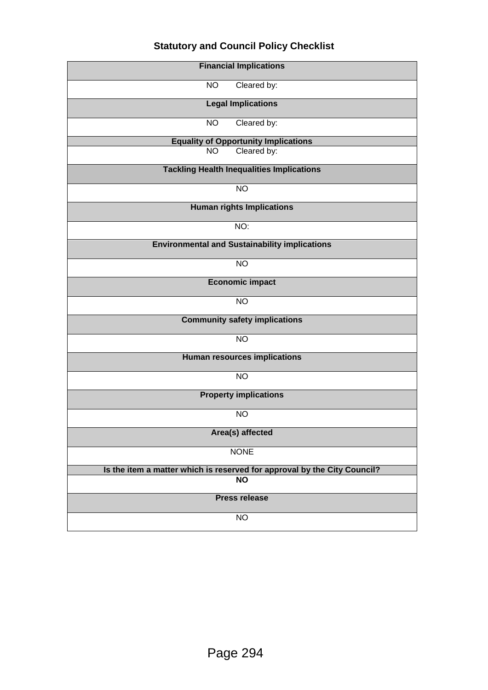## **Statutory and Council Policy Checklist**

| <b>Financial Implications</b>                                            |  |  |  |
|--------------------------------------------------------------------------|--|--|--|
| <b>NO</b><br>Cleared by:                                                 |  |  |  |
| <b>Legal Implications</b>                                                |  |  |  |
| Cleared by:<br><b>NO</b>                                                 |  |  |  |
| <b>Equality of Opportunity Implications</b>                              |  |  |  |
| Cleared by:<br><b>NO</b>                                                 |  |  |  |
| <b>Tackling Health Inequalities Implications</b>                         |  |  |  |
| $\overline{NO}$                                                          |  |  |  |
| <b>Human rights Implications</b>                                         |  |  |  |
| NO:                                                                      |  |  |  |
| <b>Environmental and Sustainability implications</b>                     |  |  |  |
| <b>NO</b>                                                                |  |  |  |
| <b>Economic impact</b>                                                   |  |  |  |
| <b>NO</b>                                                                |  |  |  |
| <b>Community safety implications</b>                                     |  |  |  |
| <b>NO</b>                                                                |  |  |  |
| <b>Human resources implications</b>                                      |  |  |  |
| <b>NO</b>                                                                |  |  |  |
| <b>Property implications</b>                                             |  |  |  |
| <b>NO</b>                                                                |  |  |  |
| Area(s) affected                                                         |  |  |  |
| <b>NONE</b>                                                              |  |  |  |
| Is the item a matter which is reserved for approval by the City Council? |  |  |  |
| <b>NO</b>                                                                |  |  |  |
| <b>Press release</b>                                                     |  |  |  |
| <b>NO</b>                                                                |  |  |  |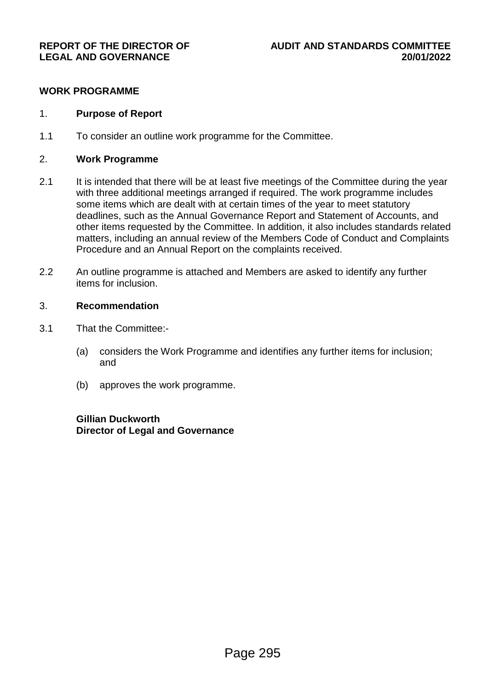#### **WORK PROGRAMME**

#### 1. **Purpose of Report**

1.1 To consider an outline work programme for the Committee.

#### 2. **Work Programme**

- 2.1 It is intended that there will be at least five meetings of the Committee during the year with three additional meetings arranged if required. The work programme includes some items which are dealt with at certain times of the year to meet statutory deadlines, such as the Annual Governance Report and Statement of Accounts, and other items requested by the Committee. In addition, it also includes standards related matters, including an annual review of the Members Code of Conduct and Complaints Procedure and an Annual Report on the complaints received.
- 2.2 An outline programme is attached and Members are asked to identify any further items for inclusion.

#### 3. **Recommendation**

- 3.1 That the Committee:-
	- (a) considers the Work Programme and identifies any further items for inclusion; and
	- (b) approves the work programme.

### **Gillian Duckworth Director of Legal and Governance**